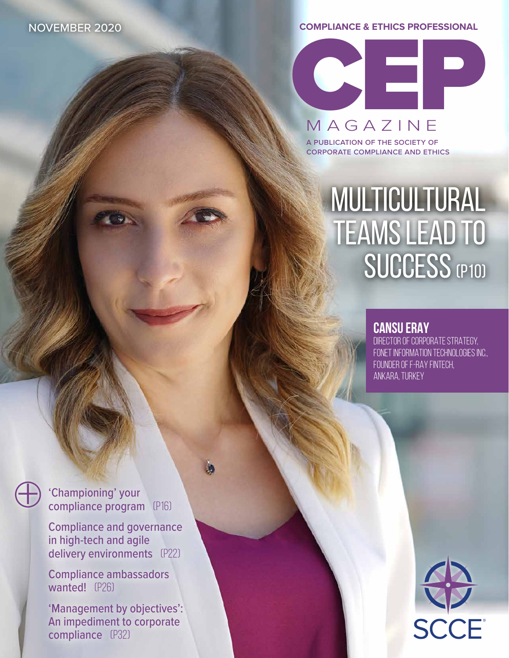**COMPLIANCE & ETHICS PROFESSIONAL**

CEP

MAGAZINE

a publication of the society of corporate compliance and ethics

# **MULTICULTURAL** TEAMS LEAD TO SUCCESS (P10)

### **CANSU ERAY**

DIRECTOR OF CORPORATE STRATEGY, FONET INFORMATION TECHNOLOGIES INC.. FOUNDER OF F-RAY FINTECH, ANKARA, TURKEY

'Championing' your compliance program (p16)

<sup>+</sup>

Compliance and governance in high-tech and agile delivery environments (P22)

Compliance ambassadors wanted! (P26)

'Management by objectives': An impediment to corporate compliance (P32)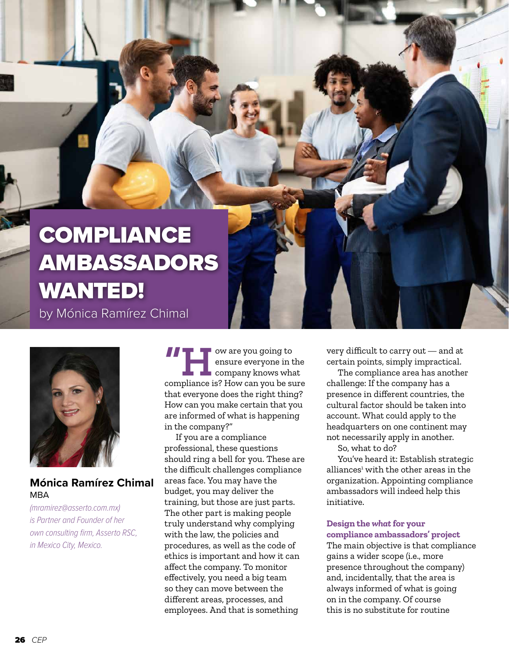## **COMPLIANCE** AMBASSADORS WANTED! by Mónica Ramírez Chimal



#### **Mónica Ramírez Chimal**  MBA

*(mramirez@asserto.com.mx) is Partner and Founder of her own consulting firm, Asserto RSC, in Mexico City, Mexico.*

**THORE SERVIS CONSIDER**<br> **EXECUTE:** COMPANY RECOMPLIANCE COMPLIANCE COMPANY RECOMPLIANCE COMPANY RECOMPLIANCE COMPANY RECOMPLIANCE CONTROLLER<br> **EXECUTE:** How can you be sure ensure everyone in the company knows what that everyone does the right thing? How can you make certain that you are informed of what is happening in the company?"

If you are a compliance professional, these questions should ring a bell for you. These are the difficult challenges compliance areas face. You may have the budget, you may deliver the training, but those are just parts. The other part is making people truly understand why complying with the law, the policies and procedures, as well as the code of ethics is important and how it can affect the company. To monitor effectively, you need a big team so they can move between the different areas, processes, and employees. And that is something

very difficult to carry out — and at certain points, simply impractical.

The compliance area has another challenge: If the company has a presence in different countries, the cultural factor should be taken into account. What could apply to the headquarters on one continent may not necessarily apply in another.

So, what to do?

You've heard it: Establish strategic alliances<sup>1</sup> with the other areas in the organization. Appointing compliance ambassadors will indeed help this initiative.

#### **Design the** *what* **for your compliance ambassadors' project**

The main objective is that compliance gains a wider scope (i.e., more presence throughout the company) and, incidentally, that the area is always informed of what is going on in the company. Of course this is no substitute for routine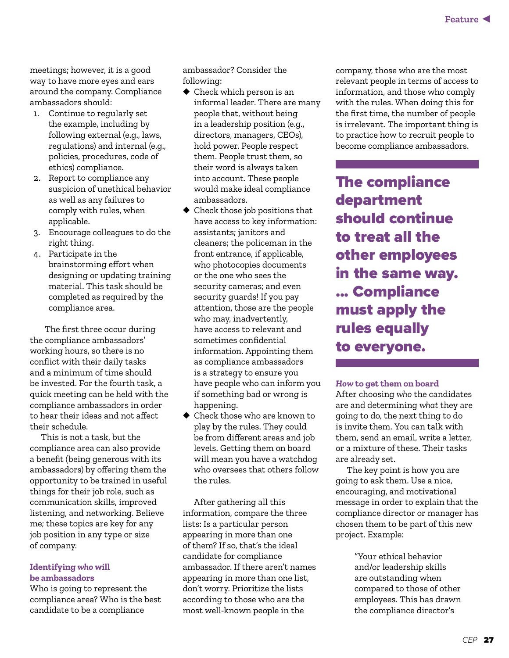meetings; however, it is a good way to have more eyes and ears around the company. Compliance ambassadors should:

- 1. Continue to regularly set the example, including by following external (e.g., laws, regulations) and internal (e.g., policies, procedures, code of ethics) compliance.
- 2. Report to compliance any suspicion of unethical behavior as well as any failures to comply with rules, when applicable.
- 3. Encourage colleagues to do the right thing.
- 4. Participate in the brainstorming effort when designing or updating training material. This task should be completed as required by the compliance area.

The first three occur during the compliance ambassadors' working hours, so there is no conflict with their daily tasks and a minimum of time should be invested. For the fourth task, a quick meeting can be held with the compliance ambassadors in order to hear their ideas and not affect their schedule.

This is not a task, but the compliance area can also provide a benefit (being generous with its ambassadors) by offering them the opportunity to be trained in useful things for their job role, such as communication skills, improved listening, and networking. Believe me; these topics are key for any job position in any type or size of company.

#### **Identifying** *who* **will be ambassadors**

Who is going to represent the compliance area? Who is the best candidate to be a compliance

ambassador? Consider the following:

- ◆ Check which person is an informal leader. There are many people that, without being in a leadership position (e.g., directors, managers, CEOs), hold power. People respect them. People trust them, so their word is always taken into account. These people would make ideal compliance ambassadors.
- ◆ Check those job positions that have access to key information: assistants; janitors and cleaners; the policeman in the front entrance, if applicable, who photocopies documents or the one who sees the security cameras; and even security guards! If you pay attention, those are the people who may, inadvertently, have access to relevant and sometimes confidential information. Appointing them as compliance ambassadors is a strategy to ensure you have people who can inform you if something bad or wrong is happening.
- ◆ Check those who are known to play by the rules. They could be from different areas and job levels. Getting them on board will mean you have a watchdog who oversees that others follow the rules.

After gathering all this information, compare the three lists: Is a particular person appearing in more than one of them? If so, that's the ideal candidate for compliance ambassador. If there aren't names appearing in more than one list, don't worry. Prioritize the lists according to those who are the most well-known people in the

company, those who are the most relevant people in terms of access to information, and those who comply with the rules. When doing this for the first time, the number of people is irrelevant. The important thing is to practice how to recruit people to become compliance ambassadors.

The compliance department should continue to treat all the other employees in the same way. ... Compliance must apply the rules equally to everyone.

#### *How* **to get them on board**

After choosing *who* the candidates are and determining *what* they are going to do, the next thing to do is invite them. You can talk with them, send an email, write a letter, or a mixture of these. Their tasks are already set.

The key point is how you are going to ask them. Use a nice, encouraging, and motivational message in order to explain that the compliance director or manager has chosen them to be part of this new project. Example:

> "Your ethical behavior and/or leadership skills are outstanding when compared to those of other employees. This has drawn the compliance director's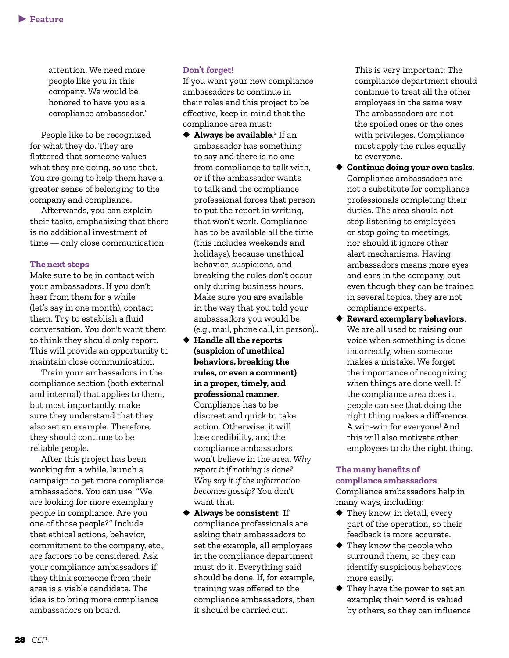attention. We need more people like you in this company. We would be honored to have you as a compliance ambassador."

People like to be recognized for what they do. They are flattered that someone values what they are doing, so use that. You are going to help them have a greater sense of belonging to the company and compliance.

Afterwards, you can explain their tasks, emphasizing that there is no additional investment of time — only close communication.

#### **The next steps**

Make sure to be in contact with your ambassadors. If you don't hear from them for a while (let's say in one month), contact them. Try to establish a fluid conversation. You don't want them to think they should only report. This will provide an opportunity to maintain close communication.

Train your ambassadors in the compliance section (both external and internal) that applies to them, but most importantly, make sure they understand that they also set an example. Therefore, they should continue to be reliable people.

After this project has been working for a while, launch a campaign to get more compliance ambassadors. You can use: "We are looking for more exemplary people in compliance. Are you one of those people?" Include that ethical actions, behavior, commitment to the company, etc., are factors to be considered. Ask your compliance ambassadors if they think someone from their area is a viable candidate. The idea is to bring more compliance ambassadors on board.

#### **Don't forget!**

If you want your new compliance ambassadors to continue in their roles and this project to be effective, keep in mind that the compliance area must:

- ◆ **Always be available.**<sup>2</sup> If an ambassador has something to say and there is no one from compliance to talk with, or if the ambassador wants to talk and the compliance professional forces that person to put the report in writing, that won't work. Compliance has to be available all the time (this includes weekends and holidays), because unethical behavior, suspicions, and breaking the rules don't occur only during business hours. Make sure you are available in the way that you told your ambassadors you would be (e.g., mail, phone call, in person)..
- ◆ **Handle all the reports (suspicion of unethical behaviors, breaking the rules, or even a comment) in a proper, timely, and professional manner**. Compliance has to be discreet and quick to take

action. Otherwise, it will lose credibility, and the compliance ambassadors won't believe in the area. *Why report it if nothing is done? Why say it if the information becomes gossip?* You don't want that.

◆ **Always be consistent**. If compliance professionals are asking their ambassadors to set the example, all employees in the compliance department must do it. Everything said should be done. If, for example, training was offered to the compliance ambassadors, then it should be carried out.

This is very important: The compliance department should continue to treat all the other employees in the same way. The ambassadors are not the spoiled ones or the ones with privileges. Compliance must apply the rules equally to everyone.

- ◆ **Continue doing your own tasks**. Compliance ambassadors are not a substitute for compliance professionals completing their duties. The area should not stop listening to employees or stop going to meetings, nor should it ignore other alert mechanisms. Having ambassadors means more eyes and ears in the company, but even though they can be trained in several topics, they are not compliance experts.
- ◆ **Reward exemplary behaviors**. We are all used to raising our voice when something is done incorrectly, when someone makes a mistake. We forget the importance of recognizing when things are done well. If the compliance area does it, people can see that doing the right thing makes a difference. A win-win for everyone! And this will also motivate other employees to do the right thing.

#### **The many benefits of compliance ambassadors**

Compliance ambassadors help in many ways, including:

- ◆ They know, in detail, every part of the operation, so their feedback is more accurate.
- ◆ They know the people who surround them, so they can identify suspicious behaviors more easily.
- ◆ They have the power to set an example; their word is valued by others, so they can influence